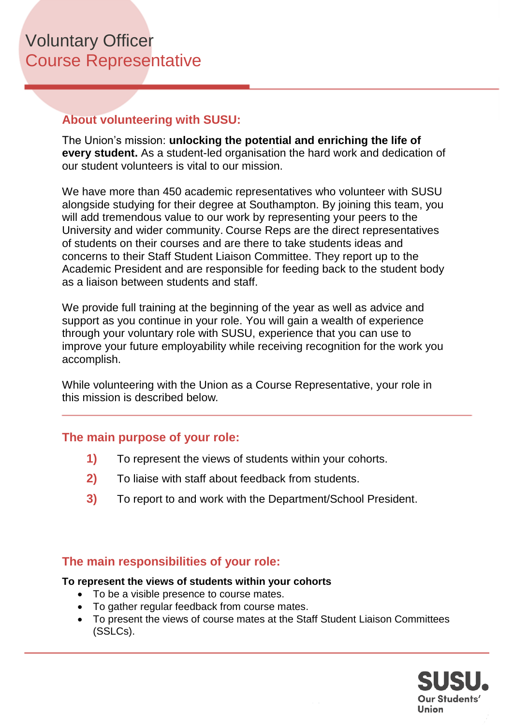## **About volunteering with SUSU:**

The Union's mission: **unlocking the potential and enriching the life of every student.** As a student-led organisation the hard work and dedication of our student volunteers is vital to our mission.

We have more than 450 academic representatives who volunteer with SUSU alongside studying for their degree at Southampton. By joining this team, you will add tremendous value to our work by representing your peers to the University and wider community. Course Reps are the direct representatives of students on their courses and are there to take students ideas and concerns to their Staff Student Liaison Committee. They report up to the Academic President and are responsible for feeding back to the student body as a liaison between students and staff.

We provide full training at the beginning of the year as well as advice and support as you continue in your role. You will gain a wealth of experience through your voluntary role with SUSU, experience that you can use to improve your future employability while receiving recognition for the work you accomplish.

While volunteering with the Union as a Course Representative, your role in this mission is described below*.*

## **The main purpose of your role:**

- **1)** To represent the views of students within your cohorts.
- **2)** To liaise with staff about feedback from students.
- **3)** To report to and work with the Department/School President.

# **The main responsibilities of your role:**

#### **To represent the views of students within your cohorts**

- To be a visible presence to course mates.
- To gather regular feedback from course mates.
- To present the views of course mates at the Staff Student Liaison Committees (SSLCs).

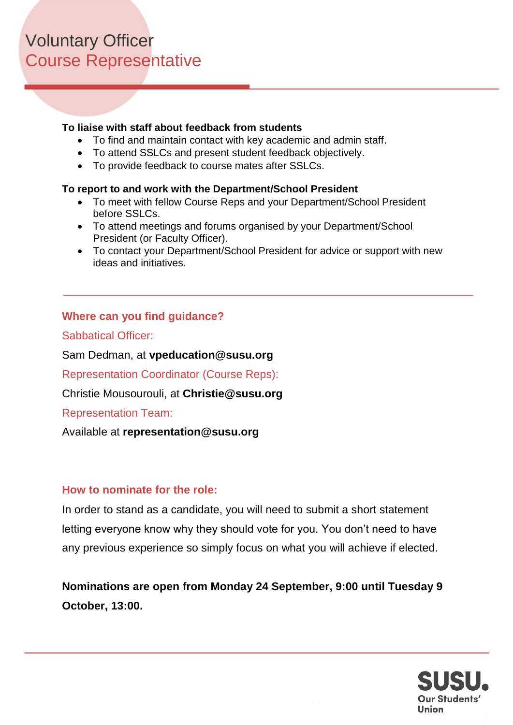#### **To liaise with staff about feedback from students**

- To find and maintain contact with key academic and admin staff.
- To attend SSLCs and present student feedback objectively.
- To provide feedback to course mates after SSLCs.

#### **To report to and work with the Department/School President**

- To meet with fellow Course Reps and your Department/School President before SSLCs.
- To attend meetings and forums organised by your Department/School President (or Faculty Officer).
- To contact your Department/School President for advice or support with new ideas and initiatives.

#### **Where can you find guidance?**

Sabbatical Officer:

Sam Dedman, at **vpeducation@susu.org**

Representation Coordinator (Course Reps):

Christie Mousourouli, at **Christie@susu.org**

Representation Team:

Available at **representation@susu.org**

#### **How to nominate for the role:**

In order to stand as a candidate, you will need to submit a short statement letting everyone know why they should vote for you. You don't need to have any previous experience so simply focus on what you will achieve if elected.

**Nominations are open from Monday 24 September, 9:00 until Tuesday 9 October, 13:00.** 

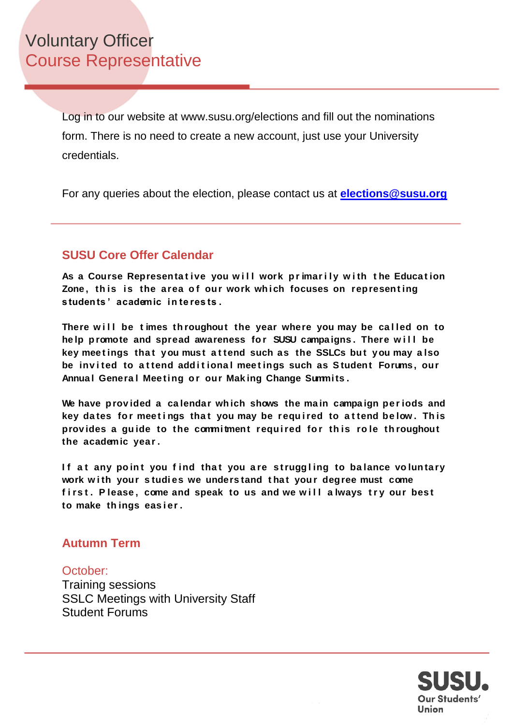Log in to our website at www.susu.org/elections and fill out the nominations form. There is no need to create a new account, just use your University credentials.

For any queries about the election, please contact us at **[elections@susu.org](mailto:elections@susu.org)**

# **SUSU Core Offer Calendar**

As a Course Representative you will work primarily with the Education Zone, this is the area of our work which focuses on representing **s tuden ts ' academic in te res ts .** 

There will be times throughout the year where you may be called on to help promote and spread awareness for SUSU campaigns. There will be key meetings that you must attend such as the SSLCs but you may also be invited to attend additional meetings such as Student Forums, our Annual General Meeting or our Making Change Summits.

We have provided a calendar which shows the main campaign periods and key dates for meetings that you may be required to attend below. This **prov ides a gu ide to the commi tment requ i red fo r th is ro le th roughout the academic year .**

If at any point you find that you are struggling to balance voluntary work with your studies we understand that your degree must come first. Please, come and speak to us and we will always try our best **to make th ings eas i er .**

## **Autumn Term**

#### October: Training sessions SSLC Meetings with University Staff Student Forums